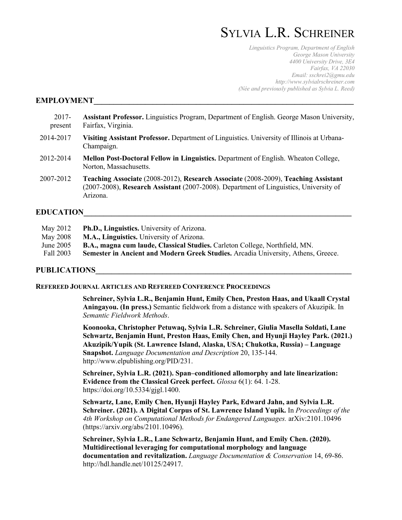# SYLVIA L.R. SCHREINER

*Linguistics Program, Department of English George Mason University 4400 University Drive, 3E4 Fairfax, VA 22030 Email: sschrei2@gmu.edu http://www.sylvialrschreiner.com (Née and previously published as Sylvia L. Reed)*

#### **EMPLOYMENT**

- 2017- **Assistant Professor.** Linguistics Program, Department of English. George Mason University, present Fairfax, Virginia.
- 2014-2017 **Visiting Assistant Professor.** Department of Linguistics. University of Illinois at Urbana-Champaign.
- 2012-2014 **Mellon Post-Doctoral Fellow in Linguistics.** Department of English. Wheaton College, Norton, Massachusetts.
- 2007-2012 **Teaching Associate** (2008-2012), **Research Associate** (2008-2009), **Teaching Assistant** (2007-2008), **Research Assistant** (2007-2008). Department of Linguistics, University of Arizona.

#### **EDUCATION\_\_\_\_\_\_\_\_\_\_\_\_\_\_\_\_\_\_\_\_\_\_\_\_\_\_\_\_\_\_\_\_\_\_\_\_\_\_\_\_\_\_\_\_\_\_\_\_\_\_\_\_\_\_\_\_\_\_\_\_\_\_\_\_\_\_\_\_**

| May 2012  | <b>Ph.D., Linguistics.</b> University of Arizona.                                  |
|-----------|------------------------------------------------------------------------------------|
| May 2008  | M.A., Linguistics. University of Arizona.                                          |
| June 2005 | <b>B.A., magna cum laude, Classical Studies.</b> Carleton College, Northfield, MN. |
| Fall 2003 | Semester in Ancient and Modern Greek Studies. Arcadia University, Athens, Greece.  |
|           |                                                                                    |

## **PUBLICATIONS\_\_\_\_\_\_\_\_\_\_\_\_\_\_\_\_\_\_\_\_\_\_\_\_\_\_\_\_\_\_\_\_\_\_\_\_\_\_\_\_\_\_\_\_\_\_\_\_\_\_\_\_\_\_\_\_\_\_\_\_\_\_\_\_\_**

#### **REFEREED JOURNAL ARTICLES AND REFEREED CONFERENCE PROCEEDINGS**

**Schreiner, Sylvia L.R., Benjamin Hunt, Emily Chen, Preston Haas, and Ukaall Crystal Aningayou. (In press.)** Semantic fieldwork from a distance with speakers of Akuzipik. In *Semantic Fieldwork Methods*.

**Koonooka, Christopher Petuwaq, Sylvia L.R. Schreiner, Giulia Masella Soldati, Lane Schwartz, Benjamin Hunt, Preston Haas, Emily Chen, and Hyunji Hayley Park. (2021.) Akuzipik/Yupik (St. Lawrence Island, Alaska, USA; Chukotka, Russia) – Language Snapshot.** *Language Documentation and Description* 20, 135-144. http://www.elpublishing.org/PID/231.

**Schreiner, Sylvia L.R. (2021). Span–conditioned allomorphy and late linearization: Evidence from the Classical Greek perfect.** *Glossa* 6(1): 64. 1-28. https://doi.org/10.5334/gjgl.1400.

**Schwartz, Lane, Emily Chen, Hyunji Hayley Park, Edward Jahn, and Sylvia L.R. Schreiner. (2021). A Digital Corpus of St. Lawrence Island Yupik.** In *Proceedings of the 4th Workshop on Computational Methods for Endangered Languages.* arXiv:2101.10496 (https://arxiv.org/abs/2101.10496).

**Schreiner, Sylvia L.R., Lane Schwartz, Benjamin Hunt, and Emily Chen. (2020). Multidirectional leveraging for computational morphology and language documentation and revitalization.** *Language Documentation & Conservation* 14, 69-86. http://hdl.handle.net/10125/24917.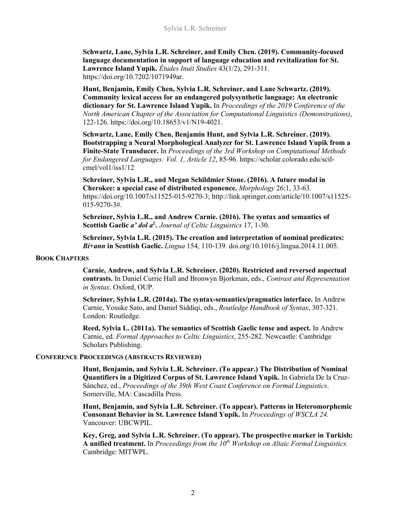**Schwartz, Lane, Sylvia L.R. Schreiner, and Emily Chen. (2019). Community-focused language documentation in support of language education and revitalization for St. Lawrence Island Yupik.** *Études Inuit Studies* 43(1/2), 291-311. https://doi.org/10.7202/1071949ar.

**Hunt, Benjamin, Emily Chen, Sylvia L.R. Schreiner, and Lane Schwartz. (2019). Community lexical access for an endangered polysynthetic language: An electronic dictionary for St. Lawrence Island Yupik.** In *Proceedings of the 2019 Conference of the North American Chapter of the Association for Computational Linguistics (Demonstrations)*, 122-126. https://doi.org/10.18653/v1/N19-4021.

**Schwartz, Lane, Emily Chen, Benjamin Hunt, and Sylvia L.R. Schreiner. (2019). Bootstrapping a Neural Morphological Analyzer for St. Lawrence Island Yupik from a Finite-State Transducer.** In *Proceedings of the 3rd Workshop on Computational Methods for Endangered Languages: Vol. 1, Article 12*, 85-96. https://scholar.colorado.edu/scilcmel/vol1/iss1/12

**Schreiner, Sylvia L.R., and Megan Schildmier Stone. (2016). A future modal in Cherokee: a special case of distributed exponence.** *Morphology* 26:1, 33-63*.* https://doi.org/10.1007/s11525-015-9270-3; http://link.springer.com/article/10.1007/s11525- 015-9270-3#.

**Schreiner, Sylvia L.R., and Andrew Carnie. (2016). The syntax and semantics of**  Scottish Gaelic *a' dol a<sup>L</sup>*. *Journal of Celtic Linguistics* 17, 1-30.

**Schreiner, Sylvia L.R. (2015). The creation and interpretation of nominal predicates:**  *Bi***+***ann* **in Scottish Gaelic.** *Lingua* 154, 110-139*.* doi.org/10.1016/j.lingua.2014.11.005.

#### **BOOK CHAPTERS**

**Carnie, Andrew, and Sylvia L.R. Schreiner. (2020). Restricted and reversed aspectual contrasts.** In Daniel Currie Hall and Bronwyn Bjorkman, eds., *Contrast and Representation in Syntax*. Oxford, OUP.

**Schreiner, Sylvia L.R. (2014a). The syntax-semantics/pragmatics interface.** In Andrew Carnie, Yosuke Sato, and Daniel Siddiqi, eds., *Routledge Handbook of Syntax*, 307-321. London: Routledge.

**Reed, Sylvia L. (2011a). The semantics of Scottish Gaelic tense and aspect.** In Andrew Carnie, ed. *Formal Approaches to Celtic Linguistics*, 255-282. Newcastle: Cambridge Scholars Publishing.

## **CONFERENCE PROCEEDINGS (ABSTRACTS REVIEWED)**

**Hunt, Benjamin, and Sylvia L.R. Schreiner. (To appear.) The Distribution of Nominal Quantifiers in a Digitized Corpus of St. Lawrence Island Yupik.** In Gabriela De la Cruz-Sánchez, ed., *Proceedings of the 39th West Coast Conference on Formal Linguistics*. Somerville, MA: Cascadilla Press.

**Hunt, Benjamin, and Sylvia L.R. Schreiner. (To appear). Patterns in Heteromorphemic Consonant Behavior in St. Lawrence Island Yupik.** In *Proceedings of WSCLA 24.* Vancouver: UBCWPIL.

**Key, Greg, and Sylvia L.R. Schreiner. (To appear). The prospective marker in Turkish:**  A unified treatment. In *Proceedings from the 10<sup>th</sup> Workshop on Altaic Formal Linguistics.* Cambridge: MITWPL.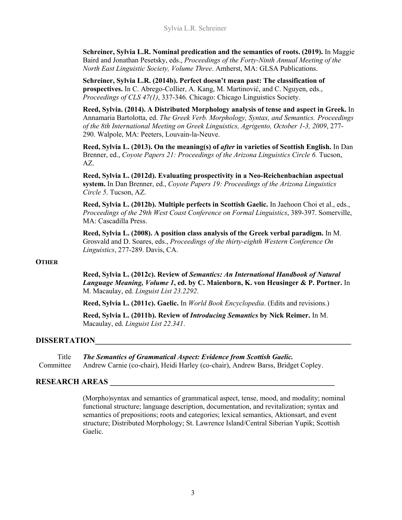**Schreiner, Sylvia L.R. Nominal predication and the semantics of roots. (2019).** In Maggie Baird and Jonathan Pesetsky, eds., *Proceedings of the Forty-Ninth Annual Meeting of the North East Linguistic Society, Volume Three*. Amherst, MA: GLSA Publications.

**Schreiner, Sylvia L.R. (2014b). Perfect doesn't mean past: The classification of prospectives.** In C. Abrego-Collier, A. Kang, M. Martinović, and C. Nguyen, eds., *Proceedings of CLS 47(1)*, 337-346. Chicago: Chicago Linguistics Society.

**Reed, Sylvia. (2014). A Distributed Morphology analysis of tense and aspect in Greek.** In Annamaria Bartolotta, ed. *The Greek Verb. Morphology, Syntax, and Semantics. Proceedings of the 8th International Meeting on Greek Linguistics, Agrigento, October 1-3, 2009*, 277- 290. Walpole, MA: Peeters, Louvain-la-Neuve.

**Reed, Sylvia L. (2013). On the meaning(s) of** *after* **in varieties of Scottish English.** In Dan Brenner, ed., *Coyote Papers 21: Proceedings of the Arizona Linguistics Circle 6.* Tucson, AZ.

**Reed, Sylvia L. (2012d). Evaluating prospectivity in a Neo-Reichenbachian aspectual system.** In Dan Brenner, ed., *Coyote Papers 19: Proceedings of the Arizona Linguistics Circle 5*. Tucson, AZ.

**Reed, Sylvia L. (2012b). Multiple perfects in Scottish Gaelic.** In Jaehoon Choi et al., eds., *Proceedings of the 29th West Coast Conference on Formal Linguistics*, 389-397. Somerville, MA: Cascadilla Press.

**Reed, Sylvia L. (2008). A position class analysis of the Greek verbal paradigm.** In M. Grosvald and D. Soares, eds., *Proceedings of the thirty-eighth Western Conference On Linguistics*, 277-289. Davis, CA.

## **OTHER**

**Reed, Sylvia L. (2012c). Review of** *Semantics: An International Handbook of Natural Language Meaning, Volume 1***, ed. by C. Maienborn, K. von Heusinger & P. Portner.** In M. Macaulay, ed. *Linguist List 23.2292*.

**Reed, Sylvia L. (2011c). Gaelic.** In *World Book Encyclopedia*. (Edits and revisions.)

**Reed, Sylvia L. (2011b). Review of** *Introducing Semantics* **by Nick Reimer.** In M. Macaulay, ed. *Linguist List 22.341*.

## **DISSERTATION\_\_\_\_\_\_\_\_\_\_\_\_\_\_\_\_\_\_\_\_\_\_\_\_\_\_\_\_\_\_\_\_\_\_\_\_\_\_\_\_\_\_\_\_\_\_\_\_\_\_\_\_\_\_\_\_\_\_\_\_\_\_\_\_\_**

Title *The Semantics of Grammatical Aspect: Evidence from Scottish Gaelic.* Committee Andrew Carnie (co-chair), Heidi Harley (co-chair), Andrew Barss, Bridget Copley.

## **RESEARCH AREAS \_\_\_\_\_\_\_\_\_\_\_\_\_\_\_\_\_\_\_\_\_\_\_\_\_\_\_\_\_\_\_\_\_\_\_\_\_\_\_\_\_\_\_\_\_\_\_\_\_\_\_\_\_\_\_\_\_**

(Morpho)syntax and semantics of grammatical aspect, tense, mood, and modality; nominal functional structure; language description, documentation, and revitalization; syntax and semantics of prepositions; roots and categories; lexical semantics, Aktionsart, and event structure; Distributed Morphology; St. Lawrence Island/Central Siberian Yupik; Scottish Gaelic.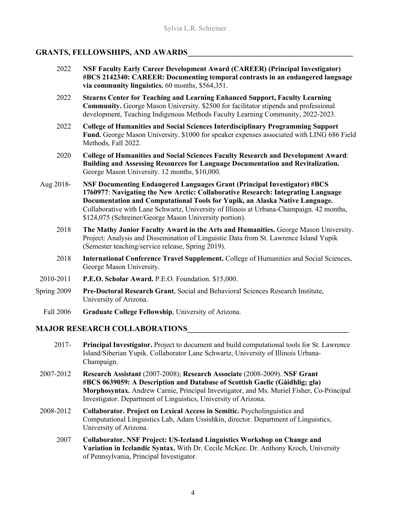## **GRANTS, FELLOWSHIPS, AND AWARDS\_\_\_\_\_\_\_\_\_\_\_\_\_\_\_\_\_\_\_\_\_\_\_\_\_\_\_\_\_\_\_\_\_\_\_\_\_\_\_\_\_\_**

- 2022 **NSF Faculty Early Career Development Award (CAREER) (Principal Investigator) #BCS 2142340: CAREER: Documenting temporal contrasts in an endangered language via community linguistics.** 60 months, \$564,351.
- 2022 **Stearns Center for Teaching and Learning Enhanced Support, Faculty Learning Community.** George Mason University. \$2500 for facilitator stipends and professional development, Teaching Indigenous Methods Faculty Learning Community, 2022-2023.
- 2022 **College of Humanities and Social Sciences Interdisciplinary Programming Support Fund.** George Mason University. \$1000 for speaker expenses associated with LING 686 Field Methods, Fall 2022.
- 2020 **College of Humanities and Social Sciences Faculty Research and Development Award**: **Building and Assessing Resources for Language Documentation and Revitalization.**  George Mason University. 12 months, \$10,000.
- Aug 2018- **NSF Documenting Endangered Languages Grant (Principal Investigator) #BCS 1760977**: **Navigating the New Arctic: Collaborative Research: Integrating Language Documentation and Computational Tools for Yupik, an Alaska Native Language.** Collaborative with Lane Schwartz, University of Illinois at Urbana-Champaign. 42 months, \$124,075 (Schreiner/George Mason University portion).
	- 2018 **The Mathy Junior Faculty Award in the Arts and Humanities.** George Mason University. Project: Analysis and Dissemination of Linguistic Data from St. Lawrence Island Yupik (Semester teaching/service release, Spring 2019).
	- 2018 **International Conference Travel Supplement.** College of Humanities and Social Sciences, George Mason University.
- 2010-2011 **P.E.O. Scholar Award.** P.E.O. Foundation. \$15,000.
- Spring 2009 **Pre-Doctoral Research Grant**, Social and Behavioral Sciences Research Institute, University of Arizona.
	- Fall 2006 **Graduate College Fellowship**, University of Arizona.

## **MAJOR RESEARCH COLLABORATIONS\_\_\_\_\_\_\_\_\_\_\_\_\_\_\_\_\_\_\_\_\_\_\_\_\_\_\_\_\_\_\_\_\_\_\_\_\_\_\_\_\_**

- 2017- **Principal Investigator.** Project to document and build computational tools for St. Lawrence Island/Siberian Yupik. Collaborator Lane Schwartz, University of Illinois Urbana-Champaign.
- 2007-2012 **Research Assistant** (2007-2008); **Research Associate** (2008-2009). **NSF Grant #BCS 0639059: A Description and Database of Scottish Gaelic (Gàidhlig; gla) Morphosyntax.** Andrew Carnie, Principal Investigator, and Ms. Muriel Fisher, Co-Principal Investigator. Department of Linguistics, University of Arizona.
- 2008-2012 **Collaborator. Project on Lexical Access in Semitic.** Psycholinguistics and Computational Linguistics Lab, Adam Ussishkin, director. Department of Linguistics, University of Arizona.
	- 2007 **Collaborator. NSF Project: US-Iceland Linguistics Workshop on Change and Variation in Icelandic Syntax.** With Dr. Cecile McKee. Dr. Anthony Kroch, University of Pennsylvania, Principal Investigator.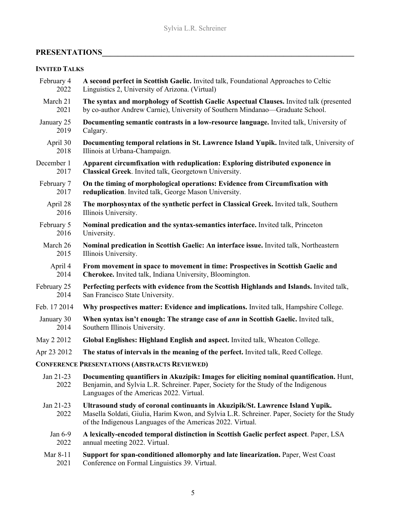## **PRESENTATIONS\_\_\_\_\_\_\_\_\_\_\_\_\_\_\_\_\_\_\_\_\_\_\_\_\_\_\_\_\_\_\_\_\_\_\_\_\_\_\_\_\_\_\_\_\_\_\_\_\_\_\_\_\_\_\_\_\_\_\_\_\_\_\_\_**

## **INVITED TALKS**

| February 4        | A second perfect in Scottish Gaelic. Invited talk, Foundational Approaches to Celtic                                                                                                                                                         |
|-------------------|----------------------------------------------------------------------------------------------------------------------------------------------------------------------------------------------------------------------------------------------|
| 2022              | Linguistics 2, University of Arizona. (Virtual)                                                                                                                                                                                              |
| March 21          | The syntax and morphology of Scottish Gaelic Aspectual Clauses. Invited talk (presented                                                                                                                                                      |
| 2021              | by co-author Andrew Carnie), University of Southern Mindanao—Graduate School.                                                                                                                                                                |
| January 25        | Documenting semantic contrasts in a low-resource language. Invited talk, University of                                                                                                                                                       |
| 2019              | Calgary.                                                                                                                                                                                                                                     |
| April 30          | Documenting temporal relations in St. Lawrence Island Yupik. Invited talk, University of                                                                                                                                                     |
| 2018              | Illinois at Urbana-Champaign.                                                                                                                                                                                                                |
| December 1        | Apparent circumfixation with reduplication: Exploring distributed exponence in                                                                                                                                                               |
| 2017              | Classical Greek. Invited talk, Georgetown University.                                                                                                                                                                                        |
| February 7        | On the timing of morphological operations: Evidence from Circumfixation with                                                                                                                                                                 |
| 2017              | reduplication. Invited talk, George Mason University.                                                                                                                                                                                        |
| April 28          | The morphosyntax of the synthetic perfect in Classical Greek. Invited talk, Southern                                                                                                                                                         |
| 2016              | Illinois University.                                                                                                                                                                                                                         |
| February 5        | Nominal predication and the syntax-semantics interface. Invited talk, Princeton                                                                                                                                                              |
| 2016              | University.                                                                                                                                                                                                                                  |
| March 26          | Nominal predication in Scottish Gaelic: An interface issue. Invited talk, Northeastern                                                                                                                                                       |
| 2015              | Illinois University.                                                                                                                                                                                                                         |
| April 4           | From movement in space to movement in time: Prospectives in Scottish Gaelic and                                                                                                                                                              |
| 2014              | Cherokee. Invited talk, Indiana University, Bloomington.                                                                                                                                                                                     |
| February 25       | Perfecting perfects with evidence from the Scottish Highlands and Islands. Invited talk,                                                                                                                                                     |
| 2014              | San Francisco State University.                                                                                                                                                                                                              |
| Feb. 17 2014      | Why prospectives matter: Evidence and implications. Invited talk, Hampshire College.                                                                                                                                                         |
| January 30        | When syntax isn't enough: The strange case of <i>ann</i> in Scottish Gaelic. Invited talk,                                                                                                                                                   |
| 2014              | Southern Illinois University.                                                                                                                                                                                                                |
| May 2 2012        | Global Englishes: Highland English and aspect. Invited talk, Wheaton College.                                                                                                                                                                |
| Apr 23 2012       | The status of intervals in the meaning of the perfect. Invited talk, Reed College.                                                                                                                                                           |
|                   | <b>CONFERENCE PRESENTATIONS (ABSTRACTS REVIEWED)</b>                                                                                                                                                                                         |
| Jan 21-23<br>2022 | Documenting quantifiers in Akuzipik: Images for eliciting nominal quantification. Hunt,<br>Benjamin, and Sylvia L.R. Schreiner. Paper, Society for the Study of the Indigenous<br>Languages of the Americas 2022. Virtual.                   |
| Jan 21-23<br>2022 | Ultrasound study of coronal continuants in Akuzipik/St. Lawrence Island Yupik.<br>Masella Soldati, Giulia, Harim Kwon, and Sylvia L.R. Schreiner. Paper, Society for the Study<br>of the Indigenous Languages of the Americas 2022. Virtual. |
| Jan 6-9           | A lexically-encoded temporal distinction in Scottish Gaelic perfect aspect. Paper, LSA                                                                                                                                                       |
| 2022              | annual meeting 2022. Virtual.                                                                                                                                                                                                                |
| Mar 8-11          | Support for span-conditioned allomorphy and late linearization. Paper, West Coast                                                                                                                                                            |
| 2021              | Conference on Formal Linguistics 39. Virtual.                                                                                                                                                                                                |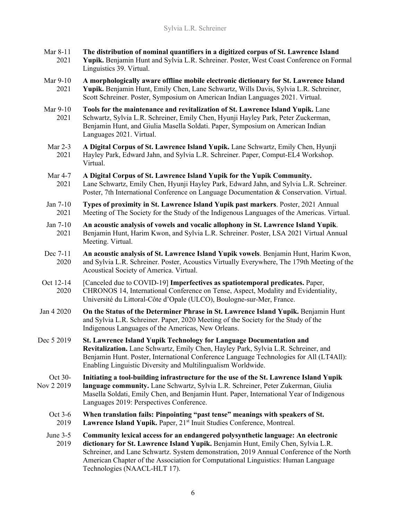- Mar 8-11 **The distribution of nominal quantifiers in a digitized corpus of St. Lawrence Island**  2021 **Yupik.** Benjamin Hunt and Sylvia L.R. Schreiner. Poster, West Coast Conference on Formal Linguistics 39. Virtual.
- Mar 9-10 **A morphologically aware offline mobile electronic dictionary for St. Lawrence Island**  2021 **Yupik.** Benjamin Hunt, Emily Chen, Lane Schwartz, Wills Davis, Sylvia L.R. Schreiner, Scott Schreiner. Poster, Symposium on American Indian Languages 2021. Virtual.
- Mar 9-10 **Tools for the maintenance and revitalization of St. Lawrence Island Yupik.** Lane 2021 Schwartz, Sylvia L.R. Schreiner, Emily Chen, Hyunji Hayley Park, Peter Zuckerman, Benjamin Hunt, and Giulia Masella Soldati. Paper, Symposium on American Indian Languages 2021. Virtual.
- Mar 2-3 **A Digital Corpus of St. Lawrence Island Yupik.** Lane Schwartz, Emily Chen, Hyunji 2021 Hayley Park, Edward Jahn, and Sylvia L.R. Schreiner. Paper, Comput-EL4 Workshop. Virtual.
- Mar 4-7 **A Digital Corpus of St. Lawrence Island Yupik for the Yupik Community.** 2021 Lane Schwartz, Emily Chen, Hyunji Hayley Park, Edward Jahn, and Sylvia L.R. Schreiner. Poster, 7th International Conference on Language Documentation & Conservation. Virtual.
- Jan 7-10 **Types of proximity in St. Lawrence Island Yupik past markers**. Poster, 2021 Annual 2021 Meeting of The Society for the Study of the Indigenous Languages of the Americas. Virtual.
- Jan 7-10 **An acoustic analysis of vowels and vocalic allophony in St. Lawrence Island Yupik**. 2021 Benjamin Hunt, Harim Kwon, and Sylvia L.R. Schreiner. Poster, LSA 2021 Virtual Annual Meeting. Virtual.
- Dec 7-11 **An acoustic analysis of St. Lawrence Island Yupik vowels**. Benjamin Hunt, Harim Kwon, 2020 and Sylvia L.R. Schreiner. Poster, Acoustics Virtually Everywhere, The 179th Meeting of the Acoustical Society of America. Virtual.
- Oct 12-14 [Canceled due to COVID-19] **Imperfectives as spatiotemporal predicates.** Paper, 2020 CHRONOS 14, International Conference on Tense, Aspect, Modality and Evidentiality, Université du Littoral-Côte d'Opale (ULCO), Boulogne-sur-Mer, France.
- Jan 4 2020 **On the Status of the Determiner Phrase in St. Lawrence Island Yupik.** Benjamin Hunt and Sylvia L.R. Schreiner. Paper, 2020 Meeting of the Society for the Study of the Indigenous Languages of the Americas, New Orleans.
- Dec 5 2019 **St. Lawrence Island Yupik Technology for Language Documentation and Revitalization.** Lane Schwartz, Emily Chen, Hayley Park, Sylvia L.R. Schreiner, and Benjamin Hunt. Poster, International Conference Language Technologies for All (LT4All): Enabling Linguistic Diversity and Multilingualism Worldwide.
- Oct 30- **Initiating a tool-building infrastructure for the use of the St. Lawrence Island Yupik**  language community. Lane Schwartz, Sylvia L.R. Schreiner, Peter Zukerman, Giulia Masella Soldati, Emily Chen, and Benjamin Hunt. Paper, International Year of Indigenous Languages 2019: Perspectives Conference.
	- Oct 3-6 **When translation fails: Pinpointing "past tense" meanings with speakers of St.** 2019 Lawrence Island Yupik. Paper, 21<sup>st</sup> Inuit Studies Conference, Montreal.
	- June 3-5 **Community lexical access for an endangered polysynthetic language: An electronic**  2019 **dictionary for St. Lawrence Island Yupik.** Benjamin Hunt, Emily Chen, Sylvia L.R. Schreiner, and Lane Schwartz. System demonstration, 2019 Annual Conference of the North American Chapter of the Association for Computational Linguistics: Human Language Technologies (NAACL-HLT 17).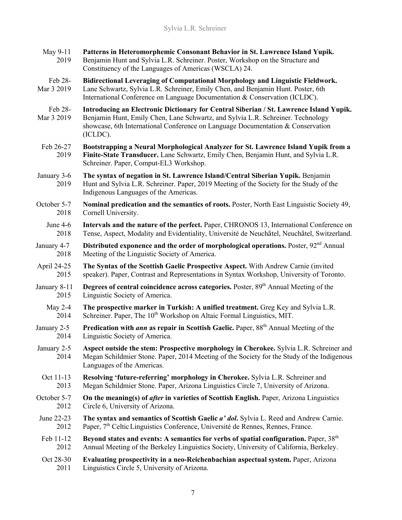| Patterns in Heteromorphemic Consonant Behavior in St. Lawrence Island Yupik.<br>Benjamin Hunt and Sylvia L.R. Schreiner. Poster, Workshop on the Structure and<br>Constituency of the Languages of Americas (WSCLA) 24.                                                  |
|--------------------------------------------------------------------------------------------------------------------------------------------------------------------------------------------------------------------------------------------------------------------------|
| Bidirectional Leveraging of Computational Morphology and Linguistic Fieldwork.<br>Lane Schwartz, Sylvia L.R. Schreiner, Emily Chen, and Benjamin Hunt. Poster, 6th<br>International Conference on Language Documentation & Conservation (ICLDC).                         |
| Introducing an Electronic Dictionary for Central Siberian / St. Lawrence Island Yupik.<br>Benjamin Hunt, Emily Chen, Lane Schwartz, and Sylvia L.R. Schreiner. Technology<br>showcase, 6th International Conference on Language Documentation & Conservation<br>(ICLDC). |
| Bootstrapping a Neural Morphological Analyzer for St. Lawrence Island Yupik from a<br>Finite-State Transducer. Lane Schwartz, Emily Chen, Benjamin Hunt, and Sylvia L.R.<br>Schreiner. Paper, Comput-EL3 Workshop.                                                       |
| The syntax of negation in St. Lawrence Island/Central Siberian Yupik. Benjamin<br>Hunt and Sylvia L.R. Schreiner. Paper, 2019 Meeting of the Society for the Study of the<br>Indigenous Languages of the Americas.                                                       |
| Nominal predication and the semantics of roots. Poster, North East Linguistic Society 49,<br>Cornell University.                                                                                                                                                         |
| Intervals and the nature of the perfect. Paper, CHRONOS 13, International Conference on<br>Tense, Aspect, Modality and Evidentiality, Université de Neuchâtel, Neuchâtel, Switzerland.                                                                                   |
| Distributed exponence and the order of morphological operations. Poster, 92 <sup>nd</sup> Annual<br>Meeting of the Linguistic Society of America.                                                                                                                        |
| The Syntax of the Scottish Gaelic Prospective Aspect. With Andrew Carnie (invited<br>speaker). Paper, Contrast and Representations in Syntax Workshop, University of Toronto.                                                                                            |
| Degrees of central coincidence across categories. Poster, 89 <sup>th</sup> Annual Meeting of the<br>Linguistic Society of America.                                                                                                                                       |
| The prospective marker in Turkish: A unified treatment. Greg Key and Sylvia L.R.<br>Schreiner. Paper, The 10 <sup>th</sup> Workshop on Altaic Formal Linguistics, MIT.                                                                                                   |
| Predication with ann as repair in Scottish Gaelic. Paper, 88 <sup>th</sup> Annual Meeting of the<br>Linguistic Society of America.                                                                                                                                       |
| Aspect outside the stem: Prospective morphology in Cherokee. Sylvia L.R. Schreiner and<br>Megan Schildmier Stone. Paper, 2014 Meeting of the Society for the Study of the Indigenous<br>Languages of the Americas.                                                       |
| Resolving 'future-referring' morphology in Cherokee. Sylvia L.R. Schreiner and<br>Megan Schildmier Stone. Paper, Arizona Linguistics Circle 7, University of Arizona.                                                                                                    |
| On the meaning(s) of <i>after</i> in varieties of Scottish English. Paper, Arizona Linguistics<br>Circle 6, University of Arizona.                                                                                                                                       |
| The syntax and semantics of Scottish Gaelic a' dol. Sylvia L. Reed and Andrew Carnie.<br>Paper, 7 <sup>th</sup> Celtic Linguistics Conference, Université de Rennes, Rennes, France.                                                                                     |
| Beyond states and events: A semantics for verbs of spatial configuration. Paper, $38th$<br>Annual Meeting of the Berkeley Linguistics Society, University of California, Berkeley.                                                                                       |
| Evaluating prospectivity in a neo-Reichenbachian aspectual system. Paper, Arizona<br>Linguistics Circle 5, University of Arizona.                                                                                                                                        |
|                                                                                                                                                                                                                                                                          |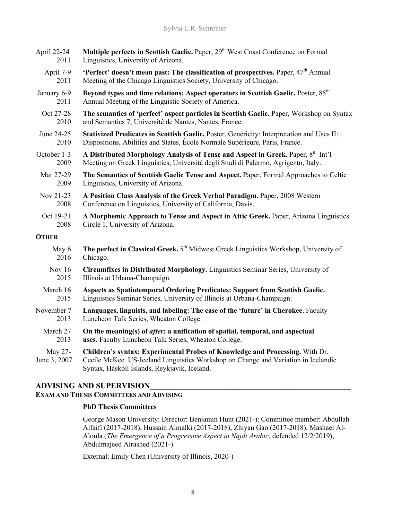| April 22-24             | Multiple perfects in Scottish Gaelic. Paper, 29 <sup>th</sup> West Coast Conference on Formal                                                                                                                      |
|-------------------------|--------------------------------------------------------------------------------------------------------------------------------------------------------------------------------------------------------------------|
| 2011                    | Linguistics, University of Arizona.                                                                                                                                                                                |
| April 7-9               | 'Perfect' doesn't mean past: The classification of prospectives. Paper, 47 <sup>th</sup> Annual                                                                                                                    |
| 2011                    | Meeting of the Chicago Linguistics Society, University of Chicago.                                                                                                                                                 |
| January 6-9             | Beyond types and time relations: Aspect operators in Scottish Gaelic. Poster, 85 <sup>th</sup>                                                                                                                     |
| 2011                    | Annual Meeting of the Linguistic Society of America.                                                                                                                                                               |
| Oct 27-28               | The semantics of 'perfect' aspect particles in Scottish Gaelic. Paper, Workshop on Syntax                                                                                                                          |
| 2010                    | and Semantics 7, Université de Nantes, Nantes, France.                                                                                                                                                             |
| June 24-25              | Stativized Predicates in Scottish Gaelic. Poster, Genericity: Interpretation and Uses II:                                                                                                                          |
| 2010                    | Dispositions, Abilities and States, École Normale Supérieure, Paris, France.                                                                                                                                       |
| October 1-3             | A Distributed Morphology Analysis of Tense and Aspect in Greek. Paper, 8th Int'l                                                                                                                                   |
| 2009                    | Meeting on Greek Linguistics, Università degli Studi di Palermo, Agrigento, Italy.                                                                                                                                 |
| Mar 27-29               | The Semantics of Scottish Gaelic Tense and Aspect. Paper, Formal Approaches to Celtic                                                                                                                              |
| 2009                    | Linguistics, University of Arizona.                                                                                                                                                                                |
| Nov 21-23               | A Position Class Analysis of the Greek Verbal Paradigm. Paper, 2008 Western                                                                                                                                        |
| 2008                    | Conference on Linguistics, University of California, Davis.                                                                                                                                                        |
| Oct 19-21               | A Morphemic Approach to Tense and Aspect in Attic Greek. Paper, Arizona Linguistics                                                                                                                                |
| 2008                    | Circle 1, University of Arizona.                                                                                                                                                                                   |
| <b>OTHER</b>            |                                                                                                                                                                                                                    |
| May 6                   | The perfect in Classical Greek. 5 <sup>th</sup> Midwest Greek Linguistics Workshop, University of                                                                                                                  |
| 2016                    | Chicago.                                                                                                                                                                                                           |
| Nov 16                  | Circumfixes in Distributed Morphology. Linguistics Seminar Series, University of                                                                                                                                   |
| 2015                    | Illinois at Urbana-Champaign.                                                                                                                                                                                      |
| March 16                | Aspects as Spatiotemporal Ordering Predicates: Support from Scottish Gaelic.                                                                                                                                       |
| 2015                    | Linguistics Seminar Series, University of Illinois at Urbana-Champaign.                                                                                                                                            |
| November 7              | Languages, linguists, and labeling: The case of the 'future' in Cherokee. Faculty                                                                                                                                  |
| 2013                    | Luncheon Talk Series, Wheaton College.                                                                                                                                                                             |
| March 27                | On the meaning(s) of <i>after</i> : a unification of spatial, temporal, and aspectual                                                                                                                              |
| 2013                    | uses. Faculty Luncheon Talk Series, Wheaton College.                                                                                                                                                               |
| May 27-<br>June 3, 2007 | Children's syntax: Experimental Probes of Knowledge and Processing. With Dr.<br>Cecile McKee. US-Iceland Linguistics Workshop on Change and Variation in Icelandic<br>Syntax, Háskóli Íslands, Reykjavik, Iceland. |

## **ADVISING AND SUPERVISION\_\_\_\_\_\_\_\_\_\_\_\_\_\_\_\_\_\_\_\_\_\_\_\_\_\_\_\_\_\_\_\_\_\_\_\_\_\_\_\_\_\_\_\_\_\_\_\_\_\_\_**

## **EXAM AND THESIS COMMITTEES AND ADVISING**

## **PhD Thesis Committees**

George Mason University: Director: Benjamin Hunt (2021-); Committee member: Abdullah Alfaifi (2017-2018), Hussain Almalki (2017-2018), Zhiyan Gao (2017-2018), Mashael Al-Aloula (*The Emergence of a Progressive Aspect in Najdi Arabic*, defended 12/2/2019), Abdulmajeed Alrashed (2021-)

External: Emily Chen (University of Illinois, 2020-)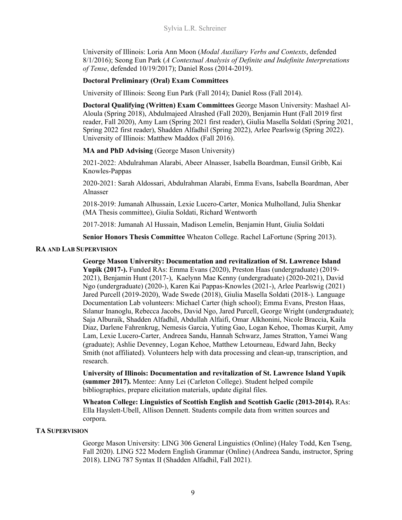University of Illinois: Loria Ann Moon (*Modal Auxiliary Verbs and Contexts*, defended 8/1/2016); Seong Eun Park (*A Contextual Analysis of Definite and Indefinite Interpretations of Tense*, defended 10/19/2017); Daniel Ross (2014-2019).

## **Doctoral Preliminary (Oral) Exam Committees**

University of Illinois: Seong Eun Park (Fall 2014); Daniel Ross (Fall 2014).

**Doctoral Qualifying (Written) Exam Committees** George Mason University: Mashael Al-Aloula (Spring 2018), Abdulmajeed Alrashed (Fall 2020), Benjamin Hunt (Fall 2019 first reader, Fall 2020), Amy Lam (Spring 2021 first reader), Giulia Masella Soldati (Spring 2021, Spring 2022 first reader), Shadden Alfadhil (Spring 2022), Arlee Pearlswig (Spring 2022). University of Illinois: Matthew Maddox (Fall 2016).

## **MA and PhD Advising** (George Mason University)

2021-2022: Abdulrahman Alarabi, Abeer Alnasser, Isabella Boardman, Eunsil Gribb, Kai Knowles-Pappas

2020-2021: Sarah Aldossari, Abdulrahman Alarabi, Emma Evans, Isabella Boardman, Aber Alnasser

2018-2019: Jumanah Alhussain, Lexie Lucero-Carter, Monica Mulholland, Julia Shenkar (MA Thesis committee), Giulia Soldati, Richard Wentworth

2017-2018: Jumanah Al Hussain, Madison Lemelin, Benjamin Hunt, Giulia Soldati

**Senior Honors Thesis Committee** Wheaton College. Rachel LaFortune (Spring 2013).

## **RA AND LAB SUPERVISION**

**George Mason University: Documentation and revitalization of St. Lawrence Island Yupik (2017-).** Funded RAs: Emma Evans (2020), Preston Haas (undergraduate) (2019- 2021), Benjamin Hunt (2017-), Kaelynn Mae Kenny (undergraduate) (2020-2021), David Ngo (undergraduate) (2020-), Karen Kai Pappas-Knowles (2021-), Arlee Pearlswig (2021) Jared Purcell (2019-2020), Wade Swede (2018), Giulia Masella Soldati (2018-). Language Documentation Lab volunteers: Michael Carter (high school); Emma Evans, Preston Haas, Sılanur Inanoglu, Rebecca Jacobs, David Ngo, Jared Purcell, George Wright (undergraduate); Saja Alburaik, Shadden Alfadhil, Abdullah Alfaifi, Omar Alkhonini, Nicole Braccia, Kaila Diaz, Darlene Fahrenkrug, Nemesis Garcia, Yuting Gao, Logan Kehoe, Thomas Kurpit, Amy Lam, Lexie Lucero-Carter, Andreea Sandu, Hannah Schwarz, James Stratton, Yamei Wang (graduate); Ashlie Devenney, Logan Kehoe, Matthew Letourneau, Edward Jahn, Becky Smith (not affiliated). Volunteers help with data processing and clean-up, transcription, and research.

**University of Illinois: Documentation and revitalization of St. Lawrence Island Yupik (summer 2017).** Mentee: Anny Lei (Carleton College). Student helped compile bibliographies, prepare elicitation materials, update digital files.

**Wheaton College: Linguistics of Scottish English and Scottish Gaelic (2013-2014).** RAs: Ella Hayslett-Ubell, Allison Dennett. Students compile data from written sources and corpora.

## **TA SUPERVISION**

George Mason University: LING 306 General Linguistics (Online) (Haley Todd, Ken Tseng, Fall 2020). LING 522 Modern English Grammar (Online) (Andreea Sandu, instructor, Spring 2018). LING 787 Syntax II (Shadden Alfadhil, Fall 2021).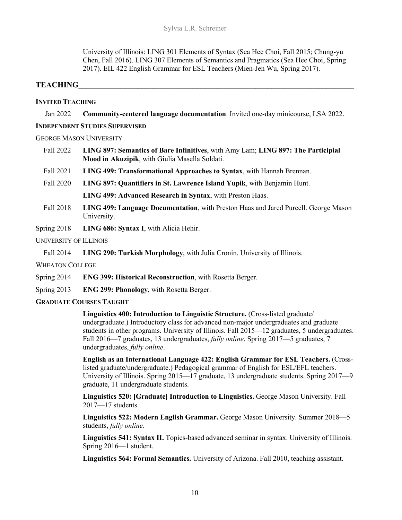University of Illinois: LING 301 Elements of Syntax (Sea Hee Choi, Fall 2015; Chung-yu Chen, Fall 2016). LING 307 Elements of Semantics and Pragmatics (Sea Hee Choi, Spring 2017). EIL 422 English Grammar for ESL Teachers (Mien-Jen Wu, Spring 2017).

## $$

## **INVITED TEACHING**

Jan 2022 **Community-centered language documentation**. Invited one-day minicourse, LSA 2022.

#### **INDEPENDENT STUDIES SUPERVISED**

#### GEORGE MASON UNIVERSITY

- Fall 2022 **LING 897: Semantics of Bare Infinitives**, with Amy Lam; **LING 897: The Participial Mood in Akuzipik**, with Giulia Masella Soldati.
- Fall 2021 **LING 499: Transformational Approaches to Syntax**, with Hannah Brennan.
- Fall 2020 **LING 897: Quantifiers in St. Lawrence Island Yupik**, with Benjamin Hunt.

**LING 499: Advanced Research in Syntax**, with Preston Haas.

- Fall 2018 **LING 499: Language Documentation**, with Preston Haas and Jared Purcell. George Mason University.
- Spring 2018 **LING 686: Syntax I**, with Alicia Hehir.

## UNIVERSITY OF ILLINOIS

Fall 2014 **LING 290: Turkish Morphology**, with Julia Cronin. University of Illinois.

WHEATON COLLEGE

- Spring 2014 **ENG 399: Historical Reconstruction**, with Rosetta Berger.
- Spring 2013 **ENG 299: Phonology**, with Rosetta Berger.

## **GRADUATE COURSES TAUGHT**

**Linguistics 400: Introduction to Linguistic Structure.** (Cross-listed graduate/ undergraduate.) Introductory class for advanced non-major undergraduates and graduate students in other programs. University of Illinois. Fall 2015—12 graduates, 5 undergraduates. Fall 2016—7 graduates, 13 undergraduates, *fully online*. Spring 2017—5 graduates, 7 undergraduates, *fully online*.

**English as an International Language 422: English Grammar for ESL Teachers.** (Crosslisted graduate/undergraduate.) Pedagogical grammar of English for ESL/EFL teachers. University of Illinois. Spring 2015—17 graduate, 13 undergraduate students. Spring 2017—9 graduate, 11 undergraduate students.

**Linguistics 520: [Graduate] Introduction to Linguistics.** George Mason University. Fall 2017—17 students.

**Linguistics 522: Modern English Grammar.** George Mason University. Summer 2018—5 students, *fully online*.

Linguistics 541: Syntax II. Topics-based advanced seminar in syntax. University of Illinois. Spring 2016—1 student.

**Linguistics 564: Formal Semantics.** University of Arizona. Fall 2010, teaching assistant.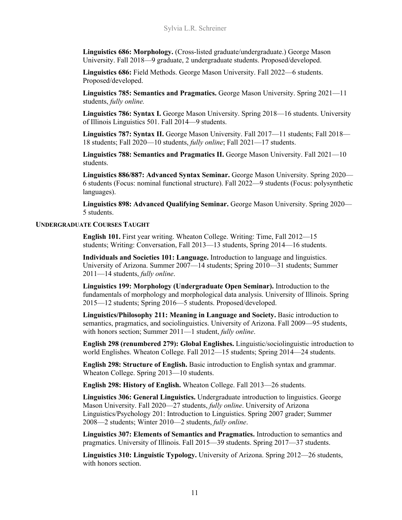**Linguistics 686: Morphology.** (Cross-listed graduate/undergraduate.) George Mason University. Fall 2018—9 graduate, 2 undergraduate students. Proposed/developed.

**Linguistics 686:** Field Methods. George Mason University. Fall 2022—6 students. Proposed/developed.

**Linguistics 785: Semantics and Pragmatics.** George Mason University. Spring 2021—11 students, *fully online.*

**Linguistics 786: Syntax I.** George Mason University. Spring 2018—16 students. University of Illinois Linguistics 501. Fall 2014—9 students.

Linguistics 787: Syntax II. George Mason University. Fall 2017—11 students; Fall 2018— 18 students; Fall 2020—10 students, *fully online*; Fall 2021—17 students.

**Linguistics 788: Semantics and Pragmatics II.** George Mason University. Fall 2021—10 students.

**Linguistics 886/887: Advanced Syntax Seminar.** George Mason University. Spring 2020— 6 students (Focus: nominal functional structure). Fall 2022—9 students (Focus: polysynthetic languages).

**Linguistics 898: Advanced Qualifying Seminar.** George Mason University. Spring 2020— 5 students.

#### **UNDERGRADUATE COURSES TAUGHT**

**English 101.** First year writing. Wheaton College. Writing: Time, Fall 2012—15 students; Writing: Conversation, Fall 2013—13 students, Spring 2014—16 students.

**Individuals and Societies 101: Language.** Introduction to language and linguistics. University of Arizona. Summer 2007—14 students; Spring 2010—31 students; Summer 2011—14 students, *fully online*.

**Linguistics 199: Morphology (Undergraduate Open Seminar).** Introduction to the fundamentals of morphology and morphological data analysis. University of Illinois. Spring 2015—12 students; Spring 2016—5 students. Proposed/developed.

**Linguistics/Philosophy 211: Meaning in Language and Society.** Basic introduction to semantics, pragmatics, and sociolinguistics. University of Arizona. Fall 2009—95 students, with honors section; Summer 2011—1 student, *fully online*.

**English 298 (renumbered 279): Global Englishes.** Linguistic/sociolinguistic introduction to world Englishes. Wheaton College. Fall 2012—15 students; Spring 2014—24 students.

**English 298: Structure of English.** Basic introduction to English syntax and grammar. Wheaton College. Spring 2013—10 students.

**English 298: History of English.** Wheaton College. Fall 2013—26 students.

**Linguistics 306: General Linguistics.** Undergraduate introduction to linguistics. George Mason University. Fall 2020—27 students, *fully online*. University of Arizona Linguistics/Psychology 201: Introduction to Linguistics. Spring 2007 grader; Summer 2008—2 students; Winter 2010—2 students, *fully online*.

**Linguistics 307: Elements of Semantics and Pragmatics.** Introduction to semantics and pragmatics. University of Illinois. Fall 2015—39 students. Spring 2017—37 students.

**Linguistics 310: Linguistic Typology.** University of Arizona. Spring 2012—26 students, with honors section.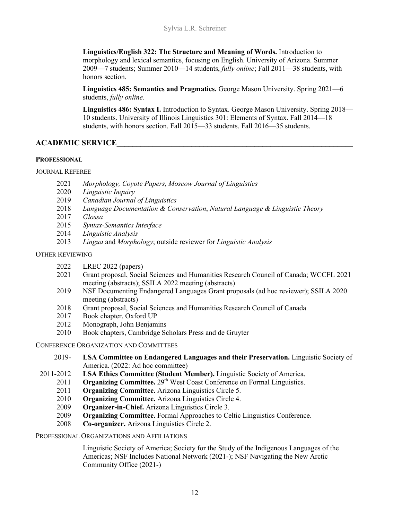**Linguistics/English 322: The Structure and Meaning of Words.** Introduction to morphology and lexical semantics, focusing on English. University of Arizona. Summer 2009—7 students; Summer 2010—14 students, *fully online*; Fall 2011—38 students, with honors section.

**Linguistics 485: Semantics and Pragmatics.** George Mason University. Spring 2021—6 students, *fully online.*

**Linguistics 486: Syntax I.** Introduction to Syntax. George Mason University. Spring 2018— 10 students. University of Illinois Linguistics 301: Elements of Syntax. Fall 2014—18 students, with honors section. Fall 2015—33 students. Fall 2016—35 students.

## **ACADEMIC SERVICE\_\_\_\_\_\_\_\_\_\_\_\_\_\_\_\_\_\_\_\_\_\_\_\_\_\_\_\_\_\_\_\_\_\_\_\_\_\_\_\_\_\_\_\_\_\_\_\_\_\_\_\_\_\_\_\_\_\_\_\_**

## **PROFESSIONAL**

## JOURNAL REFEREE

- 2021 *Morphology, Coyote Papers, Moscow Journal of Linguistics*
- 2020 *Linguistic Inquiry*
- 2019 *Canadian Journal of Linguistics*
- 2018 *Language Documentation & Conservation*, *Natural Language & Linguistic Theory*
- 2017 *Glossa*
- 2015 *Syntax-Semantics Interface*
- 2014 *Linguistic Analysis*
- 2013 *Lingua* and *Morphology*; outside reviewer for *Linguistic Analysis*

## OTHER REVIEWING

- 2022 LREC 2022 (papers)
- 2021 Grant proposal, Social Sciences and Humanities Research Council of Canada; WCCFL 2021 meeting (abstracts); SSILA 2022 meeting (abstracts)
- 2019 NSF Documenting Endangered Languages Grant proposals (ad hoc reviewer); SSILA 2020 meeting (abstracts)
- 2018 Grant proposal, Social Sciences and Humanities Research Council of Canada
- 2017 Book chapter, Oxford UP
- 2012 Monograph, John Benjamins
- 2010 Book chapters, Cambridge Scholars Press and de Gruyter

CONFERENCE ORGANIZATION AND COMMITTEES

- 2019- **LSA Committee on Endangered Languages and their Preservation.** Linguistic Society of America. (2022: Ad hoc committee)
- 2011-2012 **LSA Ethics Committee (Student Member).** Linguistic Society of America.
	- 2011 **Organizing Committee.** 29<sup>th</sup> West Coast Conference on Formal Linguistics.
	- 2011 **Organizing Committee.** Arizona Linguistics Circle 5.
	- 2010 **Organizing Committee.** Arizona Linguistics Circle 4.
	- 2009 **Organizer-in-Chief.** Arizona Linguistics Circle 3.
	- 2009 **Organizing Committee.** Formal Approaches to Celtic Linguistics Conference.
	- 2008 **Co-organizer.** Arizona Linguistics Circle 2.

## PROFESSIONAL ORGANIZATIONS AND AFFILIATIONS

Linguistic Society of America; Society for the Study of the Indigenous Languages of the Americas; NSF Includes National Network (2021-); NSF Navigating the New Arctic Community Office (2021-)